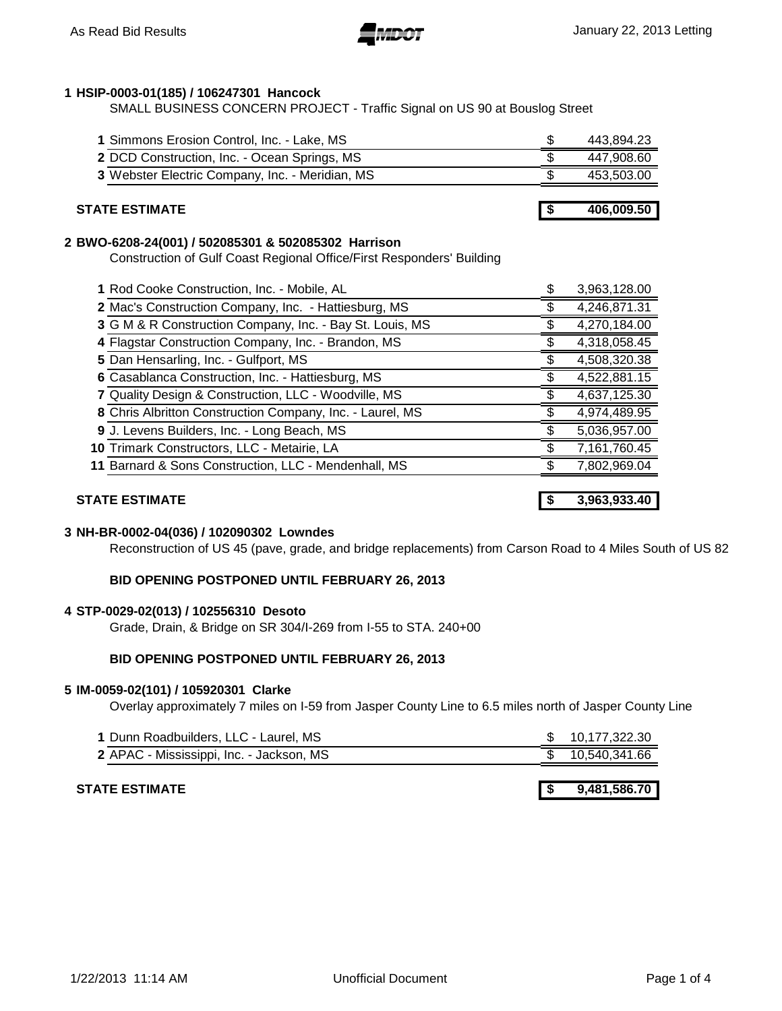### **HSIP-0003-01(185) / 106247301 Hancock**

SMALL BUSINESS CONCERN PROJECT - Traffic Signal on US 90 at Bouslog Street

| 1 Simmons Erosion Control, Inc. - Lake, MS      | 443,894.23 |
|-------------------------------------------------|------------|
| 2 DCD Construction, Inc. - Ocean Springs, MS    | 447.908.60 |
| 3 Webster Electric Company, Inc. - Meridian, MS | 453,503.00 |
|                                                 |            |
| <b>STATE ESTIMATE</b>                           | 406,009.50 |

### **BWO-6208-24(001) / 502085301 & 502085302 Harrison**

Construction of Gulf Coast Regional Office/First Responders' Building

| 1 Rod Cooke Construction, Inc. - Mobile, AL               | 3,963,128.00 |
|-----------------------------------------------------------|--------------|
| 2 Mac's Construction Company, Inc. - Hattiesburg, MS      | 4,246,871.31 |
| 3 G M & R Construction Company, Inc. - Bay St. Louis, MS  | 4,270,184.00 |
| 4 Flagstar Construction Company, Inc. - Brandon, MS       | 4,318,058.45 |
| 5 Dan Hensarling, Inc. - Gulfport, MS                     | 4,508,320.38 |
| 6 Casablanca Construction, Inc. - Hattiesburg, MS         | 4,522,881.15 |
| 7 Quality Design & Construction, LLC - Woodville, MS      | 4,637,125.30 |
| 8 Chris Albritton Construction Company, Inc. - Laurel, MS | 4,974,489.95 |
| 9 J. Levens Builders, Inc. - Long Beach, MS               | 5,036,957.00 |
| 10 Trimark Constructors, LLC - Metairie, LA               | 7,161,760.45 |
| 11 Barnard & Sons Construction, LLC - Mendenhall, MS      | 7,802,969.04 |
|                                                           |              |

### **STATE ESTIMATE \$ 3,963,933.40**

### **NH-BR-0002-04(036) / 102090302 Lowndes**

Reconstruction of US 45 (pave, grade, and bridge replacements) from Carson Road to 4 Miles South of US 82

### **BID OPENING POSTPONED UNTIL FEBRUARY 26, 2013**

### **STP-0029-02(013) / 102556310 Desoto**

Grade, Drain, & Bridge on SR 304/I-269 from I-55 to STA. 240+00

### **BID OPENING POSTPONED UNTIL FEBRUARY 26, 2013**

### **IM-0059-02(101) / 105920301 Clarke**

Overlay approximately 7 miles on I-59 from Jasper County Line to 6.5 miles north of Jasper County Line

| 1 Dunn Roadbuilders, LLC - Laurel, MS    | \$ 10,177,322.30 |
|------------------------------------------|------------------|
| 2 APAC - Mississippi, Inc. - Jackson, MS | \$ 10,540,341.66 |

### **STATE ESTIMATE 1999 12:00 12:00 12:00 12:00 12:00 12:00 12:00 12:00 12:00 12:00 12:00 12:00 12:00 12:00 12:00 12:00 12:00 12:00 12:00 12:00 12:00 12:00 12:00 12:00 12:00 12:00 12:00 12:00 12:00 12:00 12:00 12:00 12:00 1**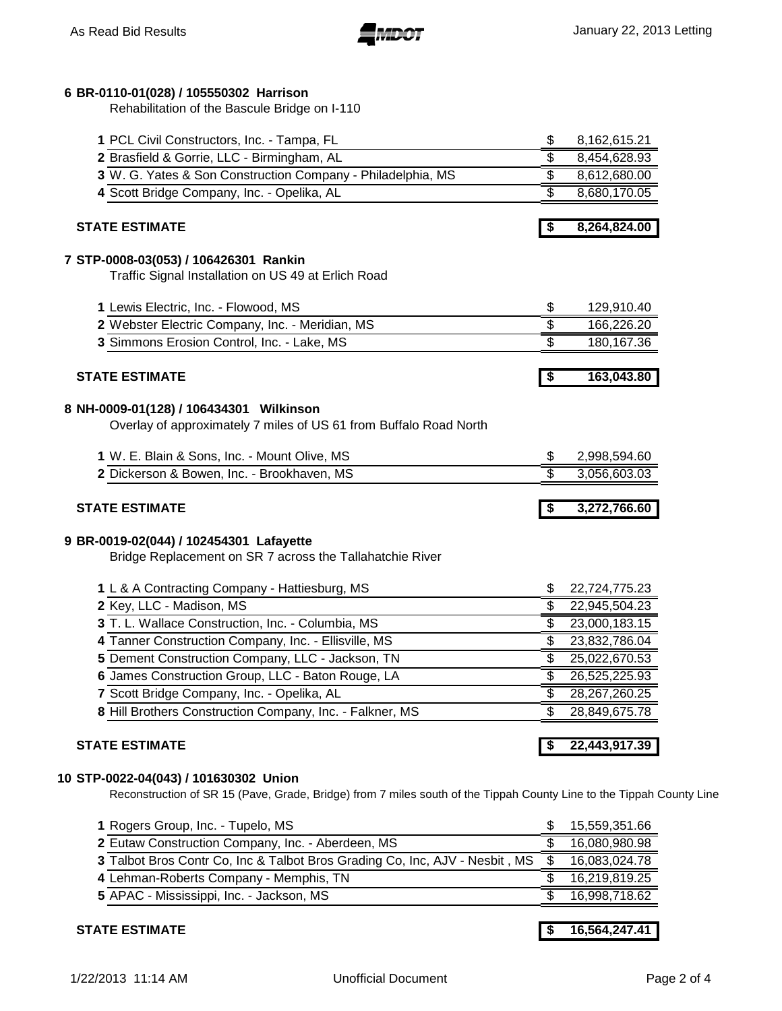# **BR-0110-01(028) / 105550302 Harrison**

Rehabilitation of the Bascule Bridge on I-110

| 2 Brasfield & Gorrie, LLC - Birmingham, AL                                               | \$                                   | 8,162,615.21                                                                                                                         |
|------------------------------------------------------------------------------------------|--------------------------------------|--------------------------------------------------------------------------------------------------------------------------------------|
|                                                                                          | \$                                   | 8,454,628.93                                                                                                                         |
| 3 W. G. Yates & Son Construction Company - Philadelphia, MS                              | \$                                   | 8,612,680.00                                                                                                                         |
| 4 Scott Bridge Company, Inc. - Opelika, AL                                               | \$                                   | 8,680,170.05                                                                                                                         |
| <b>STATE ESTIMATE</b>                                                                    | \$                                   | 8,264,824.00                                                                                                                         |
| 7 STP-0008-03(053) / 106426301 Rankin                                                    |                                      |                                                                                                                                      |
| Traffic Signal Installation on US 49 at Erlich Road                                      |                                      |                                                                                                                                      |
| 1 Lewis Electric, Inc. - Flowood, MS                                                     | \$                                   | 129,910.40                                                                                                                           |
| 2 Webster Electric Company, Inc. - Meridian, MS                                          | \$                                   | 166,226.20                                                                                                                           |
| 3 Simmons Erosion Control, Inc. - Lake, MS                                               | \$                                   | 180, 167.36                                                                                                                          |
| <b>STATE ESTIMATE</b>                                                                    | $\overline{\boldsymbol{\mathsf{s}}}$ | 163,043.80                                                                                                                           |
| 8 NH-0009-01(128) / 106434301 Wilkinson                                                  |                                      |                                                                                                                                      |
| Overlay of approximately 7 miles of US 61 from Buffalo Road North                        |                                      |                                                                                                                                      |
| 1 W. E. Blain & Sons, Inc. - Mount Olive, MS                                             | \$                                   | 2,998,594.60                                                                                                                         |
| 2 Dickerson & Bowen, Inc. - Brookhaven, MS                                               | \$                                   | 3,056,603.03                                                                                                                         |
| <b>STATE ESTIMATE</b>                                                                    | -\$                                  | 3,272,766.60                                                                                                                         |
|                                                                                          |                                      |                                                                                                                                      |
|                                                                                          |                                      |                                                                                                                                      |
| Bridge Replacement on SR 7 across the Tallahatchie River                                 |                                      |                                                                                                                                      |
| 9 BR-0019-02(044) / 102454301 Lafayette<br>1 L & A Contracting Company - Hattiesburg, MS | \$                                   |                                                                                                                                      |
| 2 Key, LLC - Madison, MS                                                                 | \$                                   |                                                                                                                                      |
| 3 T. L. Wallace Construction, Inc. - Columbia, MS                                        | \$                                   |                                                                                                                                      |
| 4 Tanner Construction Company, Inc. - Ellisville, MS                                     | \$                                   |                                                                                                                                      |
| 5 Dement Construction Company, LLC - Jackson, TN                                         | \$                                   |                                                                                                                                      |
| 6 James Construction Group, LLC - Baton Rouge, LA                                        | \$                                   |                                                                                                                                      |
| 7 Scott Bridge Company, Inc. - Opelika, AL                                               | \$                                   |                                                                                                                                      |
| 8 Hill Brothers Construction Company, Inc. - Falkner, MS                                 | S                                    | 22,724,775.23<br>22,945,504.23<br>23,000,183.15<br>23,832,786.04<br>25,022,670.53<br>26,525,225.93<br>28,267,260.25<br>28,849,675.78 |

| 1 Rogers Group, Inc. - Tupelo, MS                                           | 15,559,351.66 |
|-----------------------------------------------------------------------------|---------------|
| 2 Eutaw Construction Company, Inc. - Aberdeen, MS                           | 16,080,980.98 |
| 3 Talbot Bros Contr Co, Inc & Talbot Bros Grading Co, Inc, AJV - Nesbit, MS | 16,083,024.78 |
| 4 Lehman-Roberts Company - Memphis, TN                                      | 16,219,819.25 |
| 5 APAC - Mississippi, Inc. - Jackson, MS                                    | 16,998,718.62 |
|                                                                             |               |

**STATE ESTIMATE \$ 16,564,247.41**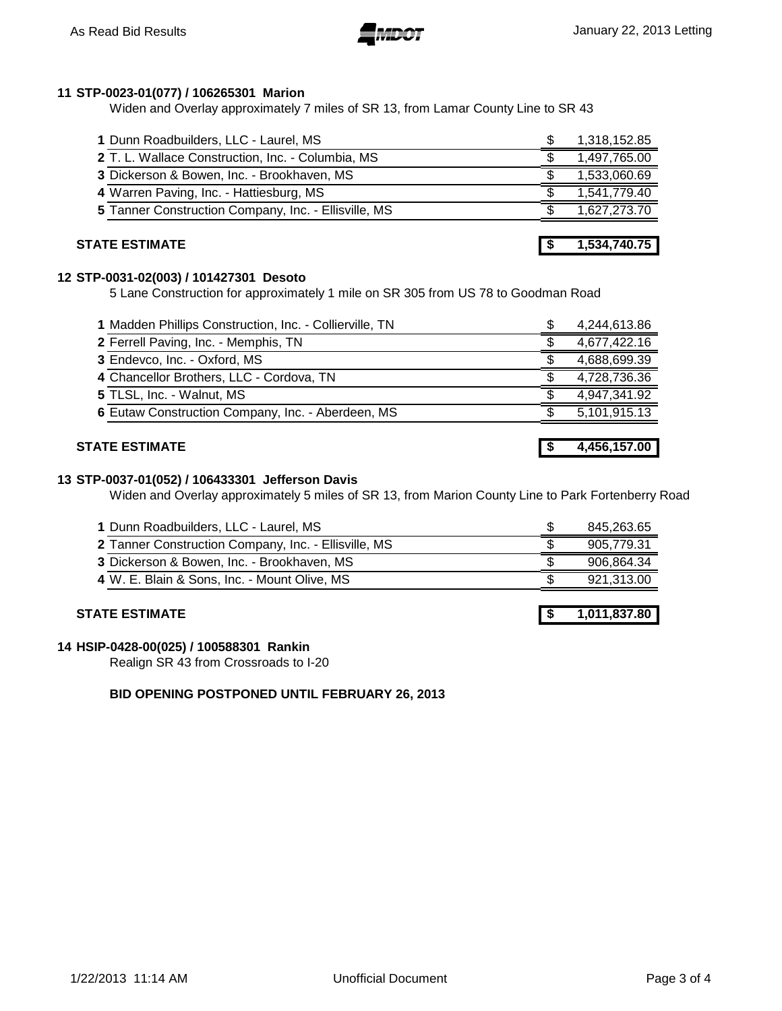# **STP-0023-01(077) / 106265301 Marion**

Widen and Overlay approximately 7 miles of SR 13, from Lamar County Line to SR 43

| 1 Dunn Roadbuilders, LLC - Laurel, MS                | 1,318,152.85 |
|------------------------------------------------------|--------------|
| 2 T. L. Wallace Construction, Inc. - Columbia, MS    | 1,497,765.00 |
| 3 Dickerson & Bowen, Inc. - Brookhaven, MS           | 1,533,060.69 |
| 4 Warren Paving, Inc. - Hattiesburg, MS              | 1,541,779.40 |
| 5 Tanner Construction Company, Inc. - Ellisville, MS | 1,627,273.70 |
|                                                      |              |

# **STATE ESTIMATE 1,534,740.75**

# **STP-0031-02(003) / 101427301 Desoto**

5 Lane Construction for approximately 1 mile on SR 305 from US 78 to Goodman Road

| 1 Madden Phillips Construction, Inc. - Collierville, TN | \$<br>4,244,613.86 |
|---------------------------------------------------------|--------------------|
| 2 Ferrell Paving, Inc. - Memphis, TN                    | 4,677,422.16       |
| 3 Endevco, Inc. - Oxford, MS                            | 4,688,699.39       |
| 4 Chancellor Brothers, LLC - Cordova, TN                | 4,728,736.36       |
| 5 TLSL, Inc. - Walnut, MS                               | 4,947,341.92       |
| 6 Eutaw Construction Company, Inc. - Aberdeen, MS       | 5,101,915.13       |

# **STATE ESTIMATE \$ 4,456,157.00**

# **STP-0037-01(052) / 106433301 Jefferson Davis**

Widen and Overlay approximately 5 miles of SR 13, from Marion County Line to Park Fortenberry Road

| 1 Dunn Roadbuilders, LLC - Laurel, MS                | 845,263.65 |
|------------------------------------------------------|------------|
| 2 Tanner Construction Company, Inc. - Ellisville, MS | 905.779.31 |
| 3 Dickerson & Bowen, Inc. - Brookhaven, MS           | 906,864.34 |
| 4 W. E. Blain & Sons, Inc. - Mount Olive, MS         | 921,313.00 |

# **STATE ESTIMATE \$ 1,011,837.80**

## **HSIP-0428-00(025) / 100588301 Rankin**

Realign SR 43 from Crossroads to I-20

# **BID OPENING POSTPONED UNTIL FEBRUARY 26, 2013**